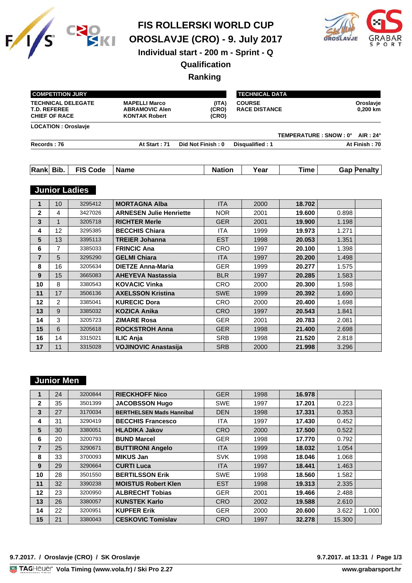

**FIS ROLLERSKI WORLD CUP**

**OROSLAVJE (CRO) - 9. July 2017**



# **Individual start - 200 m - Sprint - Q**

# **Qualification**

## **Ranking**

|                                                                          | <b>COMPETITION JURY</b> |                            |                                                                       |                         |                                       | <b>TECHNICAL DATA</b>   |       |                       |  |
|--------------------------------------------------------------------------|-------------------------|----------------------------|-----------------------------------------------------------------------|-------------------------|---------------------------------------|-------------------------|-------|-----------------------|--|
| <b>TECHNICAL DELEGATE</b><br><b>T.D. REFEREE</b><br><b>CHIEF OF RACE</b> |                         |                            | <b>MAPELLI Marco</b><br><b>ABRAMOVIC Alen</b><br><b>KONTAK Robert</b> | (ITA)<br>(CRO)<br>(CRO) | <b>COURSE</b><br><b>RACE DISTANCE</b> |                         |       | Oroslavje<br>0,200 km |  |
|                                                                          |                         | <b>LOCATION: Oroslavje</b> |                                                                       |                         |                                       |                         |       |                       |  |
|                                                                          |                         |                            |                                                                       |                         |                                       | TEMPERATURE : SNOW : 0° |       | AIR: $24^\circ$       |  |
| Records: 76                                                              |                         |                            | At Start: 71                                                          | Did Not Finish: 0       | Disqualified: 1                       |                         |       | At Finish: 70         |  |
|                                                                          |                         |                            |                                                                       |                         |                                       |                         |       |                       |  |
| Rank Bib.                                                                |                         | <b>FIS Code</b>            | <b>Name</b>                                                           | <b>Nation</b>           | Year                                  | Time                    |       | <b>Gap Penalty</b>    |  |
|                                                                          |                         | <b>Junior Ladies</b>       |                                                                       |                         |                                       |                         |       |                       |  |
| $\mathbf{1}$                                                             | 10                      | 3295412                    | <b>MORTAGNA Alba</b>                                                  | <b>ITA</b>              | 2000                                  | 18.702                  |       |                       |  |
| $\overline{2}$                                                           | 4                       | 3427026                    | <b>ARNESEN Julie Henriette</b>                                        | <b>NOR</b>              | 2001                                  | 19.600                  | 0.898 |                       |  |
| 3                                                                        | $\mathbf{1}$            | 3205718                    | <b>RICHTER Merle</b>                                                  | <b>GER</b>              | 2001                                  | 19.900                  | 1.198 |                       |  |
| 4                                                                        | 12                      | 3295385                    | <b>BECCHIS Chiara</b>                                                 | <b>ITA</b>              | 1999                                  | 19.973                  | 1.271 |                       |  |
| 5                                                                        | 13                      | 3395113                    | <b>TREIER Johanna</b>                                                 | <b>EST</b>              | 1998                                  | 20.053                  | 1.351 |                       |  |
| 6                                                                        | $\overline{7}$          | 3385033                    | <b>FRINCIC Ana</b>                                                    | <b>CRO</b>              | 1997                                  | 20.100                  | 1.398 |                       |  |
| $\overline{7}$                                                           | 5                       | 3295290                    | <b>GELMI Chiara</b>                                                   | <b>ITA</b>              | 1997                                  | 20.200                  | 1.498 |                       |  |
| 8                                                                        | 16                      | 3205634                    | <b>DIETZE Anna-Maria</b>                                              | <b>GER</b>              | 1999                                  | 20.277                  | 1.575 |                       |  |
| 9                                                                        | 15                      | 3665083                    | <b>AHEYEVA Nastassia</b>                                              | <b>BLR</b>              | 1997                                  | 20.285                  | 1.583 |                       |  |
| 10                                                                       | 8                       | 3380543                    | <b>KOVACIC Vinka</b>                                                  | <b>CRO</b>              | 2000                                  | 20.300                  | 1.598 |                       |  |
| 11                                                                       | 17                      | 3506136                    | <b>AXELSSON Kristina</b>                                              | <b>SWE</b>              | 1999                                  | 20.392                  | 1.690 |                       |  |
| 12                                                                       | $\mathcal{P}$           | 3385041                    | <b>KURECIC Dora</b>                                                   | <b>CRO</b>              | 2000                                  | 20.400                  | 1.698 |                       |  |
| 13                                                                       | 9                       | 3385032                    | <b>KOZICA Anika</b>                                                   | <b>CRO</b>              | 1997                                  | 20.543                  | 1.841 |                       |  |
| 14                                                                       | 3                       | 3205723                    | <b>ZIMARE Rosa</b>                                                    | <b>GER</b>              | 2001                                  | 20.783                  | 2.081 |                       |  |
| 15                                                                       | 6                       | 3205618                    | <b>ROCKSTROH Anna</b>                                                 | <b>GER</b>              | 1998                                  | 21.400                  | 2.698 |                       |  |
| 16                                                                       | 14                      | 3315021                    | <b>ILIC Anja</b>                                                      | <b>SRB</b>              | 1998                                  | 21.520                  | 2.818 |                       |  |
| 17                                                                       | 11                      | 3315028                    | <b>VOJINOVIC Anastasija</b>                                           | <b>SRB</b>              | 2000                                  | 21.998                  | 3.296 |                       |  |

## **Junior Men**

|              | 24 | 3200844 | <b>RIECKHOFF Nico</b>           | <b>GER</b> | 1998 | 16.978 |        |       |
|--------------|----|---------|---------------------------------|------------|------|--------|--------|-------|
| $\mathbf{2}$ | 35 | 3501399 | <b>JACOBSSON Hugo</b>           | <b>SWE</b> | 1997 | 17.201 | 0.223  |       |
| 3            | 27 | 3170034 | <b>BERTHELSEN Mads Hannibal</b> | <b>DEN</b> | 1998 | 17.331 | 0.353  |       |
| 4            | 31 | 3290419 | <b>BECCHIS Francesco</b>        | <b>ITA</b> | 1997 | 17.430 | 0.452  |       |
| 5            | 30 | 3380051 | <b>HLADIKA Jakov</b>            | <b>CRO</b> | 2000 | 17.500 | 0.522  |       |
| 6            | 20 | 3200793 | <b>BUND Marcel</b>              | <b>GER</b> | 1998 | 17.770 | 0.792  |       |
| 7            | 25 | 3290671 | <b>BUTTIRONI Angelo</b>         | <b>ITA</b> | 1999 | 18.032 | 1.054  |       |
| 8            | 33 | 3700093 | <b>MIKUS Jan</b>                | <b>SVK</b> | 1998 | 18.046 | 1.068  |       |
| 9            | 29 | 3290664 | <b>CURTI Luca</b>               | <b>ITA</b> | 1997 | 18.441 | 1.463  |       |
| 10           | 28 | 3501550 | <b>BERTILSSON Erik</b>          | <b>SWE</b> | 1998 | 18.560 | 1.582  |       |
| 11           | 32 | 3390238 | <b>MOISTUS Robert Klen</b>      | <b>EST</b> | 1998 | 19.313 | 2.335  |       |
| 12           | 23 | 3200950 | <b>ALBRECHT Tobias</b>          | <b>GER</b> | 2001 | 19.466 | 2.488  |       |
| 13           | 26 | 3380057 | <b>KUNSTEK Karlo</b>            | <b>CRO</b> | 2002 | 19.588 | 2.610  |       |
| 14           | 22 | 3200951 | <b>KUPFER Erik</b>              | <b>GER</b> | 2000 | 20.600 | 3.622  | 1.000 |
| 15           | 21 | 3380043 | <b>CESKOVIC Tomislav</b>        | <b>CRO</b> | 1997 | 32,278 | 15,300 |       |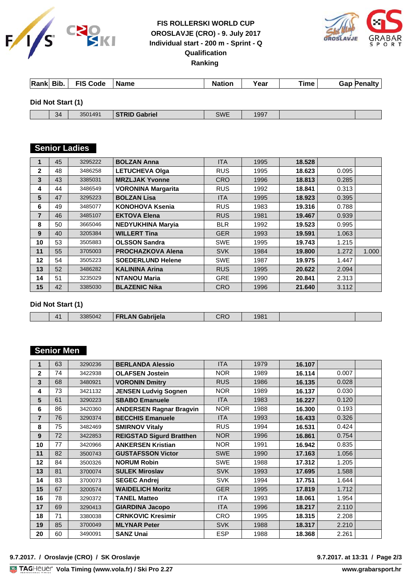

# **FIS ROLLERSKI WORLD CUP OROSLAVJE (CRO) - 9. July 2017 Individual start - 200 m - Sprint - Q Qualification Ranking**



| Rank Bib.         | <b>FIS Code</b> | <b>Name</b>          | <b>Nation</b> | Year | <b>Time</b> | <b>Gap Penalty</b> |
|-------------------|-----------------|----------------------|---------------|------|-------------|--------------------|
| Did Not Start (1) |                 |                      |               |      |             |                    |
| 34                | 3501491         | <b>STRID Gabriel</b> | <b>SWE</b>    | 1997 |             |                    |

# **Records : 76 At Senior Ladies : 71 District : 71 District : 71 District : 71 District : 700 District : 71 District : 71 District : 71 District : 71 District : 71 District : 71 District : 700 District : 700 District : 71**

|              | 45 | 3295222 | <b>BOLZAN Anna</b>        | <b>ITA</b> | 1995 | 18.528 |       |       |
|--------------|----|---------|---------------------------|------------|------|--------|-------|-------|
| $\mathbf{2}$ | 48 | 3486258 | <b>LETUCHEVA Olga</b>     | <b>RUS</b> | 1995 | 18.623 | 0.095 |       |
| 3            | 43 | 3385031 | <b>MRZLJAK Yvonne</b>     | <b>CRO</b> | 1996 | 18.813 | 0.285 |       |
| 4            | 44 | 3486549 | <b>VORONINA Margarita</b> | <b>RUS</b> | 1992 | 18.841 | 0.313 |       |
| 5            | 47 | 3295223 | <b>BOLZAN Lisa</b>        | <b>ITA</b> | 1995 | 18.923 | 0.395 |       |
| 6            | 49 | 3485077 | KONOHOVA Ksenia           | <b>RUS</b> | 1983 | 19.316 | 0.788 |       |
| 7            | 46 | 3485107 | <b>EKTOVA Elena</b>       | <b>RUS</b> | 1981 | 19.467 | 0.939 |       |
| 8            | 50 | 3665046 | <b>NEDYUKHINA Maryia</b>  | <b>BLR</b> | 1992 | 19.523 | 0.995 |       |
| 9            | 40 | 3205384 | <b>WILLERT Tina</b>       | <b>GER</b> | 1993 | 19.591 | 1.063 |       |
| 10           | 53 | 3505883 | <b>OLSSON Sandra</b>      | <b>SWE</b> | 1995 | 19.743 | 1.215 |       |
| 11           | 55 | 3705003 | <b>PROCHAZKOVA Alena</b>  | <b>SVK</b> | 1984 | 19.800 | 1.272 | 1.000 |
| 12           | 54 | 3505223 | <b>SOEDERLUND Helene</b>  | <b>SWE</b> | 1987 | 19.975 | 1.447 |       |
| 13           | 52 | 3486282 | <b>KALININA Arina</b>     | <b>RUS</b> | 1995 | 20.622 | 2.094 |       |
| 14           | 51 | 3235029 | <b>NTANOU Maria</b>       | <b>GRE</b> | 1990 | 20.841 | 2.313 |       |
| 15           | 42 | 3385030 | <b>BLAZENIC Nika</b>      | <b>CRO</b> | 1996 | 21.640 | 3.112 |       |

**Did Not Start (1)**

| . .<br>Λ1<br>. . | $\sim$ $\sim$<br>ו ה הר<br>3385042 | <br><b>FRI</b><br>нею | 42 F | 981 |  |
|------------------|------------------------------------|-----------------------|------|-----|--|
|                  |                                    |                       |      |     |  |

#### **Senior Men**

| 1              | 63 | 3290236 | <b>BERLANDA Alessio</b>         | <b>ITA</b> | 1979 |        |       |  |
|----------------|----|---------|---------------------------------|------------|------|--------|-------|--|
|                |    |         |                                 |            |      | 16.107 |       |  |
| $\overline{2}$ | 74 | 3422938 | <b>OLAFSEN Jostein</b>          | <b>NOR</b> | 1989 | 16.114 | 0.007 |  |
| 3              | 68 | 3480921 | <b>VORONIN Dmitry</b>           | <b>RUS</b> | 1986 | 16.135 | 0.028 |  |
| 4              | 73 | 3421132 | <b>JENSEN Ludvig Sognen</b>     | <b>NOR</b> | 1989 | 16.137 | 0.030 |  |
| 5              | 61 | 3290223 | <b>SBABO Emanuele</b>           | <b>ITA</b> | 1983 | 16.227 | 0.120 |  |
| 6              | 86 | 3420360 | <b>ANDERSEN Ragnar Bragvin</b>  | <b>NOR</b> | 1988 | 16.300 | 0.193 |  |
| $\overline{7}$ | 76 | 3290374 | <b>BECCHIS Emanuele</b>         | <b>ITA</b> | 1993 | 16.433 | 0.326 |  |
| 8              | 75 | 3482469 | <b>SMIRNOV Vitaly</b>           | <b>RUS</b> | 1994 | 16.531 | 0.424 |  |
| 9              | 72 | 3422853 | <b>REIGSTAD Sigurd Bratthen</b> | <b>NOR</b> | 1996 | 16.861 | 0.754 |  |
| 10             | 77 | 3420966 | <b>ANKERSEN Kristian</b>        | <b>NOR</b> | 1991 | 16.942 | 0.835 |  |
| 11             | 82 | 3500743 | <b>GUSTAFSSON Victor</b>        | <b>SWE</b> | 1990 | 17.163 | 1.056 |  |
| 12             | 84 | 3500326 | <b>NORUM Robin</b>              | <b>SWE</b> | 1988 | 17.312 | 1.205 |  |
| 13             | 81 | 3700074 | <b>SULEK Miroslav</b>           | <b>SVK</b> | 1993 | 17.695 | 1.588 |  |
| 14             | 83 | 3700073 | <b>SEGEC Andrej</b>             | <b>SVK</b> | 1994 | 17.751 | 1.644 |  |
| 15             | 67 | 3200574 | <b>WAIDELICH Moritz</b>         | <b>GER</b> | 1995 | 17.819 | 1.712 |  |
| 16             | 78 | 3290372 | <b>TANEL Matteo</b>             | <b>ITA</b> | 1993 | 18.061 | 1.954 |  |
| 17             | 69 | 3290413 | <b>GIARDINA Jacopo</b>          | <b>ITA</b> | 1996 | 18.217 | 2.110 |  |
| 18             | 71 | 3380038 | <b>CRNKOVIC Kresimir</b>        | CRO        | 1995 | 18.315 | 2.208 |  |
| 19             | 85 | 3700049 | <b>MLYNAR Peter</b>             | <b>SVK</b> | 1988 | 18.317 | 2.210 |  |
| 20             | 60 | 3490091 | <b>SANZ Unai</b>                | <b>ESP</b> | 1988 | 18.368 | 2.261 |  |